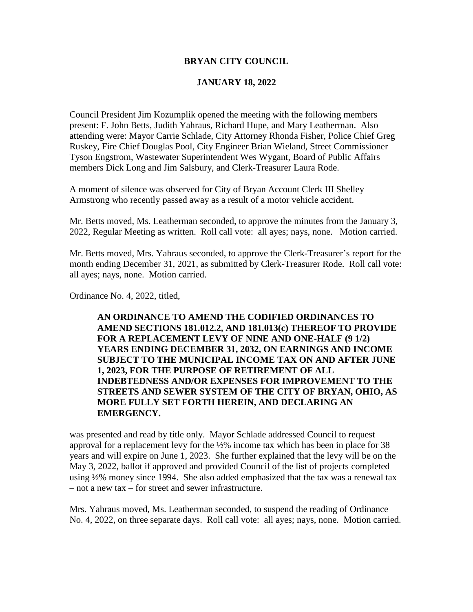#### **BRYAN CITY COUNCIL**

#### **JANUARY 18, 2022**

Council President Jim Kozumplik opened the meeting with the following members present: F. John Betts, Judith Yahraus, Richard Hupe, and Mary Leatherman. Also attending were: Mayor Carrie Schlade, City Attorney Rhonda Fisher, Police Chief Greg Ruskey, Fire Chief Douglas Pool, City Engineer Brian Wieland, Street Commissioner Tyson Engstrom, Wastewater Superintendent Wes Wygant, Board of Public Affairs members Dick Long and Jim Salsbury, and Clerk-Treasurer Laura Rode.

A moment of silence was observed for City of Bryan Account Clerk III Shelley Armstrong who recently passed away as a result of a motor vehicle accident.

Mr. Betts moved, Ms. Leatherman seconded, to approve the minutes from the January 3, 2022, Regular Meeting as written. Roll call vote: all ayes; nays, none. Motion carried.

Mr. Betts moved, Mrs. Yahraus seconded, to approve the Clerk-Treasurer's report for the month ending December 31, 2021, as submitted by Clerk-Treasurer Rode. Roll call vote: all ayes; nays, none. Motion carried.

Ordinance No. 4, 2022, titled,

**AN ORDINANCE TO AMEND THE CODIFIED ORDINANCES TO AMEND SECTIONS 181.012.2, AND 181.013(c) THEREOF TO PROVIDE FOR A REPLACEMENT LEVY OF NINE AND ONE-HALF (9 1/2) YEARS ENDING DECEMBER 31, 2032, ON EARNINGS AND INCOME SUBJECT TO THE MUNICIPAL INCOME TAX ON AND AFTER JUNE 1, 2023, FOR THE PURPOSE OF RETIREMENT OF ALL INDEBTEDNESS AND/OR EXPENSES FOR IMPROVEMENT TO THE STREETS AND SEWER SYSTEM OF THE CITY OF BRYAN, OHIO, AS MORE FULLY SET FORTH HEREIN, AND DECLARING AN EMERGENCY.** 

was presented and read by title only. Mayor Schlade addressed Council to request approval for a replacement levy for the ½% income tax which has been in place for 38 years and will expire on June 1, 2023. She further explained that the levy will be on the May 3, 2022, ballot if approved and provided Council of the list of projects completed using ½% money since 1994. She also added emphasized that the tax was a renewal tax – not a new tax – for street and sewer infrastructure.

Mrs. Yahraus moved, Ms. Leatherman seconded, to suspend the reading of Ordinance No. 4, 2022, on three separate days. Roll call vote: all ayes; nays, none. Motion carried.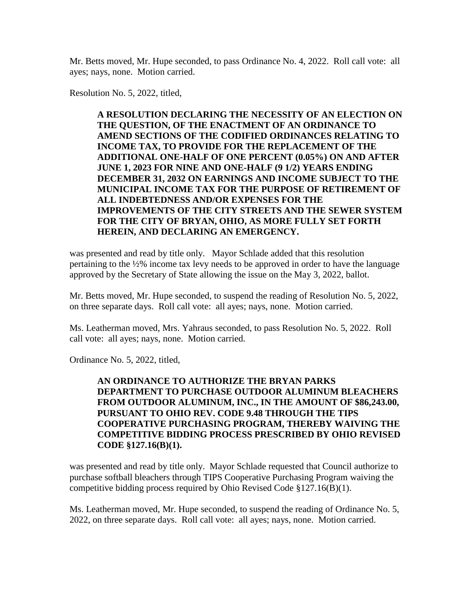Mr. Betts moved, Mr. Hupe seconded, to pass Ordinance No. 4, 2022. Roll call vote: all ayes; nays, none. Motion carried.

Resolution No. 5, 2022, titled,

**A RESOLUTION DECLARING THE NECESSITY OF AN ELECTION ON THE QUESTION, OF THE ENACTMENT OF AN ORDINANCE TO AMEND SECTIONS OF THE CODIFIED ORDINANCES RELATING TO INCOME TAX, TO PROVIDE FOR THE REPLACEMENT OF THE ADDITIONAL ONE-HALF OF ONE PERCENT (0.05%) ON AND AFTER JUNE 1, 2023 FOR NINE AND ONE-HALF (9 1/2) YEARS ENDING DECEMBER 31, 2032 ON EARNINGS AND INCOME SUBJECT TO THE MUNICIPAL INCOME TAX FOR THE PURPOSE OF RETIREMENT OF ALL INDEBTEDNESS AND/OR EXPENSES FOR THE IMPROVEMENTS OF THE CITY STREETS AND THE SEWER SYSTEM FOR THE CITY OF BRYAN, OHIO, AS MORE FULLY SET FORTH HEREIN, AND DECLARING AN EMERGENCY.**

was presented and read by title only. Mayor Schlade added that this resolution pertaining to the ½% income tax levy needs to be approved in order to have the language approved by the Secretary of State allowing the issue on the May 3, 2022, ballot.

Mr. Betts moved, Mr. Hupe seconded, to suspend the reading of Resolution No. 5, 2022, on three separate days. Roll call vote: all ayes; nays, none. Motion carried.

Ms. Leatherman moved, Mrs. Yahraus seconded, to pass Resolution No. 5, 2022. Roll call vote: all ayes; nays, none. Motion carried.

Ordinance No. 5, 2022, titled,

### **AN ORDINANCE TO AUTHORIZE THE BRYAN PARKS DEPARTMENT TO PURCHASE OUTDOOR ALUMINUM BLEACHERS FROM OUTDOOR ALUMINUM, INC., IN THE AMOUNT OF \$86,243.00, PURSUANT TO OHIO REV. CODE 9.48 THROUGH THE TIPS COOPERATIVE PURCHASING PROGRAM, THEREBY WAIVING THE COMPETITIVE BIDDING PROCESS PRESCRIBED BY OHIO REVISED CODE §127.16(B)(1).**

was presented and read by title only. Mayor Schlade requested that Council authorize to purchase softball bleachers through TIPS Cooperative Purchasing Program waiving the competitive bidding process required by Ohio Revised Code §127.16(B)(1).

Ms. Leatherman moved, Mr. Hupe seconded, to suspend the reading of Ordinance No. 5, 2022, on three separate days. Roll call vote: all ayes; nays, none. Motion carried.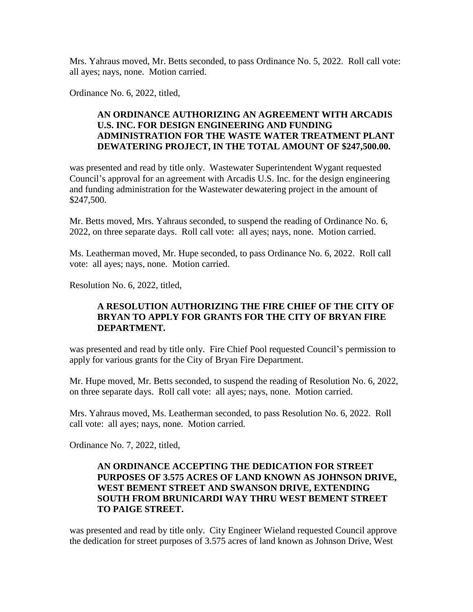Mrs. Yahraus moved, Mr. Betts seconded, to pass Ordinance No. 5, 2022. Roll call vote: all ayes; nays, none. Motion carried.

Ordinance No. 6, 2022, titled,

### **AN ORDINANCE AUTHORIZING AN AGREEMENT WITH ARCADIS U.S. INC. FOR DESIGN ENGINEERING AND FUNDING ADMINISTRATION FOR THE WASTE WATER TREATMENT PLANT DEWATERING PROJECT, IN THE TOTAL AMOUNT OF \$247,500.00.**

was presented and read by title only. Wastewater Superintendent Wygant requested Council's approval for an agreement with Arcadis U.S. Inc. for the design engineering and funding administration for the Wastewater dewatering project in the amount of \$247,500.

Mr. Betts moved, Mrs. Yahraus seconded, to suspend the reading of Ordinance No. 6, 2022, on three separate days. Roll call vote: all ayes; nays, none. Motion carried.

Ms. Leatherman moved, Mr. Hupe seconded, to pass Ordinance No. 6, 2022. Roll call vote: all ayes; nays, none. Motion carried.

Resolution No. 6, 2022, titled,

### **A RESOLUTION AUTHORIZING THE FIRE CHIEF OF THE CITY OF BRYAN TO APPLY FOR GRANTS FOR THE CITY OF BRYAN FIRE DEPARTMENT.**

was presented and read by title only. Fire Chief Pool requested Council's permission to apply for various grants for the City of Bryan Fire Department.

Mr. Hupe moved, Mr. Betts seconded, to suspend the reading of Resolution No. 6, 2022, on three separate days. Roll call vote: all ayes; nays, none. Motion carried.

Mrs. Yahraus moved, Ms. Leatherman seconded, to pass Resolution No. 6, 2022. Roll call vote: all ayes; nays, none. Motion carried.

Ordinance No. 7, 2022, titled,

### **AN ORDINANCE ACCEPTING THE DEDICATION FOR STREET PURPOSES OF 3.575 ACRES OF LAND KNOWN AS JOHNSON DRIVE, WEST BEMENT STREET AND SWANSON DRIVE, EXTENDING SOUTH FROM BRUNICARDI WAY THRU WEST BEMENT STREET TO PAIGE STREET.**

was presented and read by title only. City Engineer Wieland requested Council approve the dedication for street purposes of 3.575 acres of land known as Johnson Drive, West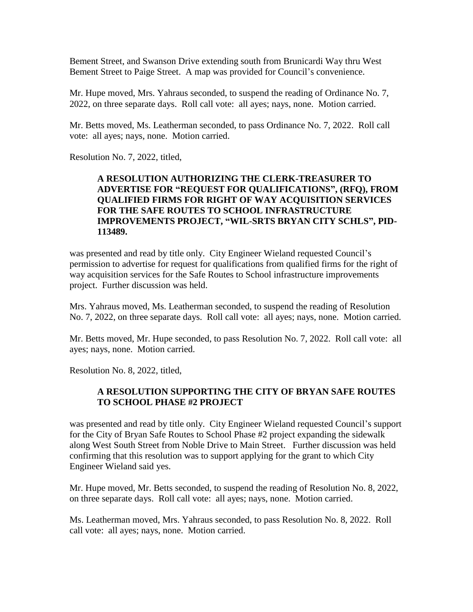Bement Street, and Swanson Drive extending south from Brunicardi Way thru West Bement Street to Paige Street. A map was provided for Council's convenience.

Mr. Hupe moved, Mrs. Yahraus seconded, to suspend the reading of Ordinance No. 7, 2022, on three separate days. Roll call vote: all ayes; nays, none. Motion carried.

Mr. Betts moved, Ms. Leatherman seconded, to pass Ordinance No. 7, 2022. Roll call vote: all ayes; nays, none. Motion carried.

Resolution No. 7, 2022, titled,

## **A RESOLUTION AUTHORIZING THE CLERK-TREASURER TO ADVERTISE FOR "REQUEST FOR QUALIFICATIONS", (RFQ), FROM QUALIFIED FIRMS FOR RIGHT OF WAY ACQUISITION SERVICES FOR THE SAFE ROUTES TO SCHOOL INFRASTRUCTURE IMPROVEMENTS PROJECT, "WIL-SRTS BRYAN CITY SCHLS", PID-113489.**

was presented and read by title only. City Engineer Wieland requested Council's permission to advertise for request for qualifications from qualified firms for the right of way acquisition services for the Safe Routes to School infrastructure improvements project. Further discussion was held.

Mrs. Yahraus moved, Ms. Leatherman seconded, to suspend the reading of Resolution No. 7, 2022, on three separate days. Roll call vote: all ayes; nays, none. Motion carried.

Mr. Betts moved, Mr. Hupe seconded, to pass Resolution No. 7, 2022. Roll call vote: all ayes; nays, none. Motion carried.

Resolution No. 8, 2022, titled,

# **A RESOLUTION SUPPORTING THE CITY OF BRYAN SAFE ROUTES TO SCHOOL PHASE #2 PROJECT**

was presented and read by title only. City Engineer Wieland requested Council's support for the City of Bryan Safe Routes to School Phase #2 project expanding the sidewalk along West South Street from Noble Drive to Main Street. Further discussion was held confirming that this resolution was to support applying for the grant to which City Engineer Wieland said yes.

Mr. Hupe moved, Mr. Betts seconded, to suspend the reading of Resolution No. 8, 2022, on three separate days. Roll call vote: all ayes; nays, none. Motion carried.

Ms. Leatherman moved, Mrs. Yahraus seconded, to pass Resolution No. 8, 2022. Roll call vote: all ayes; nays, none. Motion carried.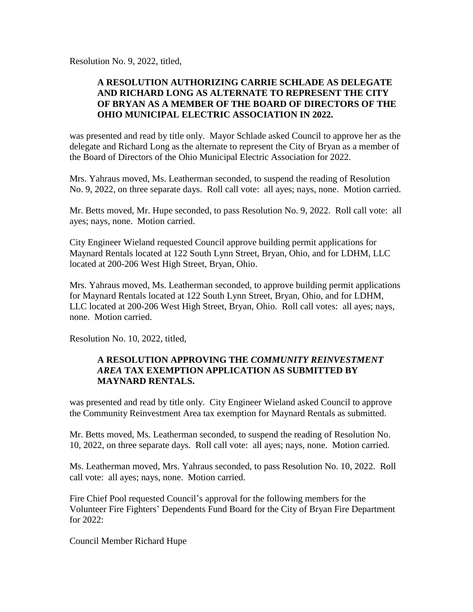Resolution No. 9, 2022, titled,

# **A RESOLUTION AUTHORIZING CARRIE SCHLADE AS DELEGATE AND RICHARD LONG AS ALTERNATE TO REPRESENT THE CITY OF BRYAN AS A MEMBER OF THE BOARD OF DIRECTORS OF THE OHIO MUNICIPAL ELECTRIC ASSOCIATION IN 2022.**

was presented and read by title only. Mayor Schlade asked Council to approve her as the delegate and Richard Long as the alternate to represent the City of Bryan as a member of the Board of Directors of the Ohio Municipal Electric Association for 2022.

Mrs. Yahraus moved, Ms. Leatherman seconded, to suspend the reading of Resolution No. 9, 2022, on three separate days. Roll call vote: all ayes; nays, none. Motion carried.

Mr. Betts moved, Mr. Hupe seconded, to pass Resolution No. 9, 2022. Roll call vote: all ayes; nays, none. Motion carried.

City Engineer Wieland requested Council approve building permit applications for Maynard Rentals located at 122 South Lynn Street, Bryan, Ohio, and for LDHM, LLC located at 200-206 West High Street, Bryan, Ohio.

Mrs. Yahraus moved, Ms. Leatherman seconded, to approve building permit applications for Maynard Rentals located at 122 South Lynn Street, Bryan, Ohio, and for LDHM, LLC located at 200-206 West High Street, Bryan, Ohio. Roll call votes: all ayes; nays, none. Motion carried.

Resolution No. 10, 2022, titled,

# **A RESOLUTION APPROVING THE** *COMMUNITY REINVESTMENT AREA* **TAX EXEMPTION APPLICATION AS SUBMITTED BY MAYNARD RENTALS.**

was presented and read by title only. City Engineer Wieland asked Council to approve the Community Reinvestment Area tax exemption for Maynard Rentals as submitted.

Mr. Betts moved, Ms. Leatherman seconded, to suspend the reading of Resolution No. 10, 2022, on three separate days. Roll call vote: all ayes; nays, none. Motion carried.

Ms. Leatherman moved, Mrs. Yahraus seconded, to pass Resolution No. 10, 2022. Roll call vote: all ayes; nays, none. Motion carried.

Fire Chief Pool requested Council's approval for the following members for the Volunteer Fire Fighters' Dependents Fund Board for the City of Bryan Fire Department for 2022:

Council Member Richard Hupe